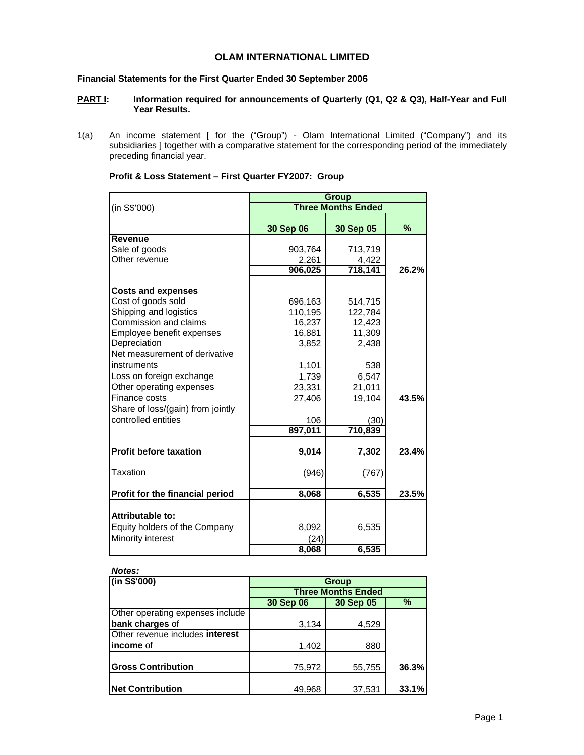# **OLAM INTERNATIONAL LIMITED**

## **Financial Statements for the First Quarter Ended 30 September 2006**

### **PART I:** Information required for announcements of Quarterly (Q1, Q2 & Q3), Half-Year and Full **Year Results.**

1(a) An income statement [ for the ("Group") - Olam International Limited ("Company") and its subsidiaries ] together with a comparative statement for the corresponding period of the immediately preceding financial year.

|                                   | <b>Group</b>              |           |       |  |  |  |  |
|-----------------------------------|---------------------------|-----------|-------|--|--|--|--|
| (in S\$'000)                      | <b>Three Months Ended</b> |           |       |  |  |  |  |
|                                   | 30 Sep 06                 | 30 Sep 05 | %     |  |  |  |  |
| <b>Revenue</b>                    |                           |           |       |  |  |  |  |
| Sale of goods                     | 903,764                   | 713,719   |       |  |  |  |  |
| Other revenue                     | 2,261                     | 4,422     |       |  |  |  |  |
|                                   | 906,025                   | 718,141   | 26.2% |  |  |  |  |
| <b>Costs and expenses</b>         |                           |           |       |  |  |  |  |
| Cost of goods sold                | 696,163                   | 514,715   |       |  |  |  |  |
| Shipping and logistics            | 110,195                   | 122,784   |       |  |  |  |  |
| Commission and claims             | 16,237                    | 12,423    |       |  |  |  |  |
| Employee benefit expenses         | 16,881                    | 11,309    |       |  |  |  |  |
| Depreciation                      | 3,852                     | 2,438     |       |  |  |  |  |
| Net measurement of derivative     |                           |           |       |  |  |  |  |
| instruments                       | 1,101                     | 538       |       |  |  |  |  |
| Loss on foreign exchange          | 1,739                     | 6,547     |       |  |  |  |  |
| Other operating expenses          | 23,331                    | 21,011    |       |  |  |  |  |
| Finance costs                     | 27,406                    | 19,104    | 43.5% |  |  |  |  |
| Share of loss/(gain) from jointly |                           |           |       |  |  |  |  |
| controlled entities               | 106                       | (30)      |       |  |  |  |  |
|                                   | 897,011                   | 710,839   |       |  |  |  |  |
| <b>Profit before taxation</b>     | 9,014                     | 7,302     | 23.4% |  |  |  |  |
| Taxation                          | (946)                     | (767)     |       |  |  |  |  |
| Profit for the financial period   | 8,068                     | 6,535     | 23.5% |  |  |  |  |
| Attributable to:                  |                           |           |       |  |  |  |  |
| Equity holders of the Company     | 8,092                     | 6,535     |       |  |  |  |  |
| Minority interest                 | (24)                      |           |       |  |  |  |  |
|                                   | 8,068                     | 6,535     |       |  |  |  |  |

| Profit & Loss Statement - First Quarter FY2007: Group |
|-------------------------------------------------------|
|-------------------------------------------------------|

| Notes:<br>$($ in S\$'000)        | Group                     |        |       |  |  |  |  |
|----------------------------------|---------------------------|--------|-------|--|--|--|--|
|                                  | <b>Three Months Ended</b> |        |       |  |  |  |  |
|                                  | 30 Sep 06<br>30 Sep 05    |        |       |  |  |  |  |
| Other operating expenses include |                           |        |       |  |  |  |  |
| bank charges of                  | 3,134                     | 4,529  |       |  |  |  |  |
| Other revenue includes interest  |                           |        |       |  |  |  |  |
| lincome of                       | 1,402                     | 880    |       |  |  |  |  |
|                                  |                           |        |       |  |  |  |  |
| <b>Gross Contribution</b>        | 75,972                    | 55,755 | 36.3% |  |  |  |  |
|                                  |                           |        |       |  |  |  |  |
| <b>Net Contribution</b>          | 49,968                    | 37,531 | 33.1% |  |  |  |  |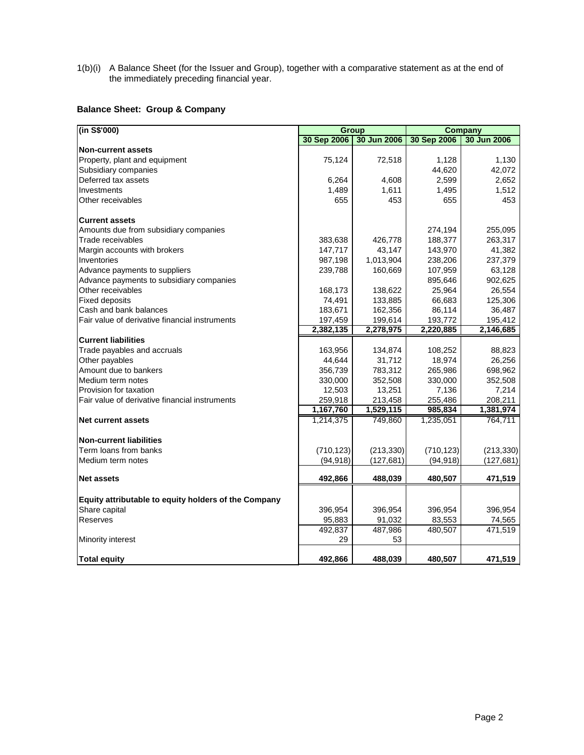1(b)(i) A Balance Sheet (for the Issuer and Group), together with a comparative statement as at the end of the immediately preceding financial year.

# **Balance Sheet: Group & Company**

| (in S\$'000)                                         | <b>Group</b> |             | <b>Company</b> |             |  |
|------------------------------------------------------|--------------|-------------|----------------|-------------|--|
|                                                      | 30 Sep 2006  | 30 Jun 2006 | 30 Sep 2006    | 30 Jun 2006 |  |
| <b>Non-current assets</b>                            |              |             |                |             |  |
| Property, plant and equipment                        | 75,124       | 72,518      | 1,128          | 1,130       |  |
| Subsidiary companies                                 |              |             | 44,620         | 42,072      |  |
| Deferred tax assets                                  | 6,264        | 4,608       | 2,599          | 2,652       |  |
| Investments                                          | 1,489        | 1,611       | 1,495          | 1,512       |  |
| Other receivables                                    | 655          | 453         | 655            | 453         |  |
| <b>Current assets</b>                                |              |             |                |             |  |
| Amounts due from subsidiary companies                |              |             | 274,194        | 255,095     |  |
| Trade receivables                                    | 383,638      | 426,778     | 188,377        | 263,317     |  |
| Margin accounts with brokers                         | 147,717      | 43,147      | 143,970        | 41,382      |  |
| Inventories                                          | 987,198      | 1,013,904   | 238,206        | 237,379     |  |
| Advance payments to suppliers                        | 239,788      | 160,669     | 107,959        | 63,128      |  |
| Advance payments to subsidiary companies             |              |             | 895,646        | 902,625     |  |
| Other receivables                                    | 168,173      | 138,622     | 25,964         | 26,554      |  |
| <b>Fixed deposits</b>                                | 74,491       | 133,885     | 66,683         | 125,306     |  |
| Cash and bank balances                               | 183,671      | 162,356     | 86,114         | 36,487      |  |
| Fair value of derivative financial instruments       | 197,459      | 199,614     | 193,772        | 195.412     |  |
|                                                      | 2,382,135    | 2,278,975   | 2,220,885      | 2,146,685   |  |
| <b>Current liabilities</b>                           |              |             |                |             |  |
| Trade payables and accruals                          | 163,956      | 134,874     | 108,252        | 88,823      |  |
| Other payables                                       | 44,644       | 31,712      | 18,974         | 26,256      |  |
| Amount due to bankers                                | 356,739      | 783,312     | 265,986        | 698,962     |  |
| Medium term notes                                    | 330,000      | 352,508     | 330,000        | 352,508     |  |
| Provision for taxation                               | 12,503       | 13,251      | 7,136          | 7,214       |  |
| Fair value of derivative financial instruments       | 259,918      | 213,458     | 255,486        | 208,211     |  |
|                                                      | 1,167,760    | 1,529,115   | 985,834        | 1,381,974   |  |
| <b>Net current assets</b>                            | 1,214,375    | 749,860     | 1,235,051      | 764,711     |  |
| <b>Non-current liabilities</b>                       |              |             |                |             |  |
| Term loans from banks                                | (710, 123)   | (213, 330)  | (710, 123)     | (213, 330)  |  |
| Medium term notes                                    | (94, 918)    | (127, 681)  | (94, 918)      | (127, 681)  |  |
| <b>Net assets</b>                                    | 492,866      | 488,039     | 480,507        | 471,519     |  |
| Equity attributable to equity holders of the Company |              |             |                |             |  |
| Share capital                                        | 396,954      | 396,954     | 396,954        | 396,954     |  |
| Reserves                                             | 95,883       | 91,032      | 83,553         | 74,565      |  |
|                                                      | 492,837      | 487,986     | 480,507        | 471,519     |  |
| Minority interest                                    | 29           | 53          |                |             |  |
| <b>Total equity</b>                                  | 492.866      | 488,039     | 480.507        | 471.519     |  |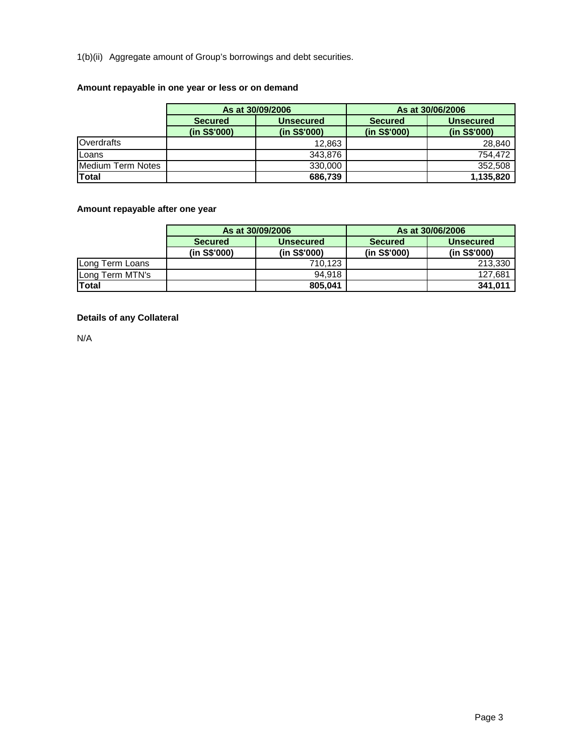1(b)(ii) Aggregate amount of Group's borrowings and debt securities.

# **Amount repayable in one year or less or on demand**

|                   |                | As at 30/09/2006 | As at 30/06/2006 |                  |  |
|-------------------|----------------|------------------|------------------|------------------|--|
|                   | <b>Secured</b> | Unsecured        | <b>Secured</b>   | <b>Unsecured</b> |  |
|                   | (in S\$'000)   | (in S\$'000)     | (in S\$'000)     | (in S\$'000)     |  |
| Overdrafts        |                | 12.863           |                  | 28,840           |  |
| Loans             |                | 343.876          |                  | 754.472          |  |
| Medium Term Notes |                | 330,000          |                  | 352,508          |  |
| <b>Total</b>      |                | 686,739          |                  | 1,135,820        |  |

# **Amount repayable after one year**

|                 |                | As at 30/09/2006 |                | As at 30/06/2006 |
|-----------------|----------------|------------------|----------------|------------------|
|                 | <b>Secured</b> | <b>Unsecured</b> | <b>Secured</b> | <b>Unsecured</b> |
|                 | (in S\$'000)   | (in S\$'000)     | (in S\$'000)   | (in S\$'000)     |
| Long Term Loans |                | 710.123          |                | 213,330          |
| Long Term MTN's |                | 94.918           |                | 127.681          |
| Total           |                | 805.041          |                | 341,011          |

# **Details of any Collateral**

N/A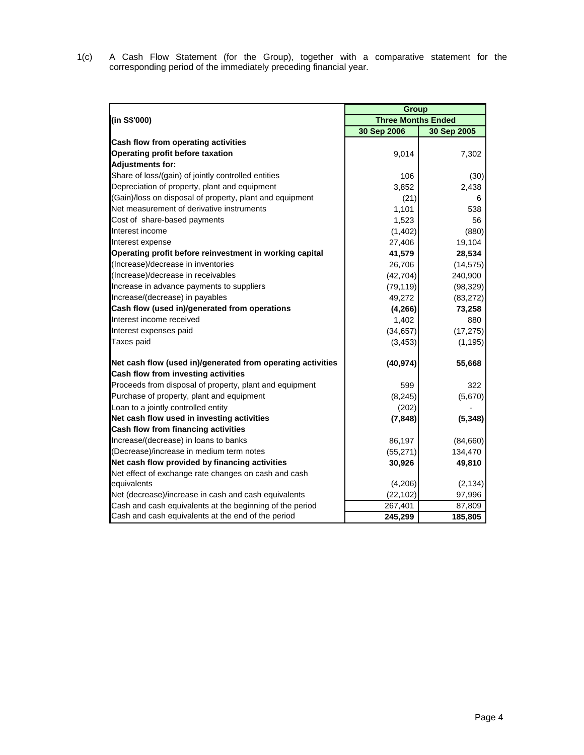1(c) A Cash Flow Statement (for the Group), together with a comparative statement for the corresponding period of the immediately preceding financial year.

|                                                             | <b>Group</b> |                           |  |  |  |
|-------------------------------------------------------------|--------------|---------------------------|--|--|--|
| (in S\$'000)                                                |              | <b>Three Months Ended</b> |  |  |  |
|                                                             | 30 Sep 2006  | 30 Sep 2005               |  |  |  |
| Cash flow from operating activities                         |              |                           |  |  |  |
| Operating profit before taxation                            | 9,014        | 7,302                     |  |  |  |
| <b>Adjustments for:</b>                                     |              |                           |  |  |  |
| Share of loss/(gain) of jointly controlled entities         | 106          | (30)                      |  |  |  |
| Depreciation of property, plant and equipment               | 3,852        | 2,438                     |  |  |  |
| (Gain)/loss on disposal of property, plant and equipment    | (21)         | 6                         |  |  |  |
| Net measurement of derivative instruments                   | 1,101        | 538                       |  |  |  |
| Cost of share-based payments                                | 1,523        | 56                        |  |  |  |
| Interest income                                             | (1,402)      | (880)                     |  |  |  |
| Interest expense                                            | 27,406       | 19,104                    |  |  |  |
| Operating profit before reinvestment in working capital     | 41,579       | 28,534                    |  |  |  |
| (Increase)/decrease in inventories                          | 26,706       | (14, 575)                 |  |  |  |
| (Increase)/decrease in receivables                          | (42, 704)    | 240,900                   |  |  |  |
| Increase in advance payments to suppliers                   | (79, 119)    | (98, 329)                 |  |  |  |
| Increase/(decrease) in payables                             | 49,272       | (83, 272)                 |  |  |  |
| Cash flow (used in)/generated from operations               | (4, 266)     | 73,258                    |  |  |  |
| Interest income received                                    | 1,402        | 880                       |  |  |  |
| Interest expenses paid                                      | (34, 657)    | (17, 275)                 |  |  |  |
| Taxes paid                                                  | (3, 453)     | (1, 195)                  |  |  |  |
| Net cash flow (used in)/generated from operating activities | (40, 974)    | 55,668                    |  |  |  |
| Cash flow from investing activities                         |              |                           |  |  |  |
| Proceeds from disposal of property, plant and equipment     | 599          | 322                       |  |  |  |
| Purchase of property, plant and equipment                   | (8, 245)     | (5,670)                   |  |  |  |
| Loan to a jointly controlled entity                         | (202)        |                           |  |  |  |
| Net cash flow used in investing activities                  | (7, 848)     | (5, 348)                  |  |  |  |
| Cash flow from financing activities                         |              |                           |  |  |  |
| Increase/(decrease) in loans to banks                       | 86,197       | (84,660)                  |  |  |  |
| (Decrease)/increase in medium term notes                    | (55, 271)    | 134,470                   |  |  |  |
| Net cash flow provided by financing activities              | 30,926       | 49,810                    |  |  |  |
| Net effect of exchange rate changes on cash and cash        |              |                           |  |  |  |
| equivalents                                                 | (4,206)      | (2, 134)                  |  |  |  |
| Net (decrease)/increase in cash and cash equivalents        | (22, 102)    | 97,996                    |  |  |  |
| Cash and cash equivalents at the beginning of the period    | 267,401      | 87,809                    |  |  |  |
| Cash and cash equivalents at the end of the period          | 245,299      | 185,805                   |  |  |  |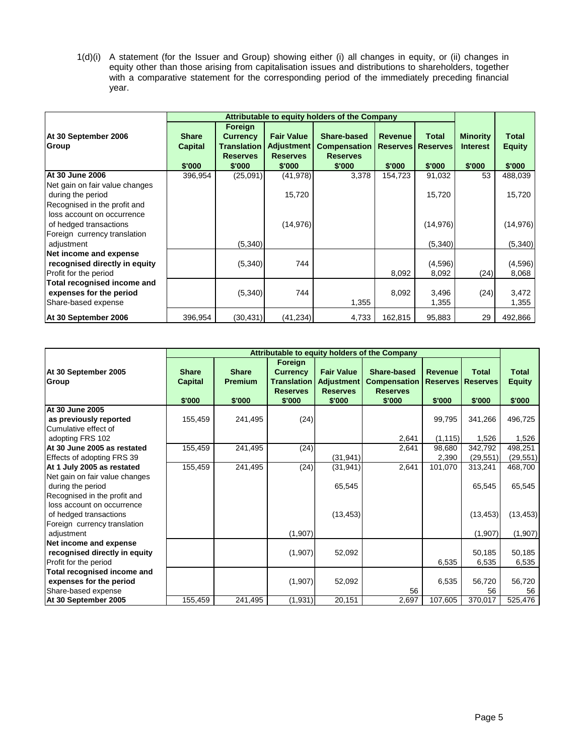1(d)(i) A statement (for the Issuer and Group) showing either (i) all changes in equity, or (ii) changes in equity other than those arising from capitalisation issues and distributions to shareholders, together with a comparative statement for the corresponding period of the immediately preceding financial year.

|                                                                                                                      | Attributable to equity holders of the Company |                                                              |                                                           |                                                       |                |                                          |                                    |                        |
|----------------------------------------------------------------------------------------------------------------------|-----------------------------------------------|--------------------------------------------------------------|-----------------------------------------------------------|-------------------------------------------------------|----------------|------------------------------------------|------------------------------------|------------------------|
| At 30 September 2006<br>Group                                                                                        | <b>Share</b><br><b>Capital</b>                | Foreign<br><b>Currency</b><br>Translation<br><b>Reserves</b> | <b>Fair Value</b><br><b>Adjustment</b><br><b>Reserves</b> | Share-based<br><b>Compensation</b><br><b>Reserves</b> | <b>Revenue</b> | <b>Total</b><br><b>Reserves Reserves</b> | <b>Minority</b><br><b>Interest</b> | Total<br><b>Equity</b> |
|                                                                                                                      | \$'000                                        | \$'000                                                       | \$'000                                                    | \$'000                                                | \$'000         | \$'000                                   | \$'000                             | \$'000                 |
| <b>IAt 30 June 2006</b>                                                                                              | 396,954                                       | (25,091)                                                     | (41, 978)                                                 | 3,378                                                 | 154,723        | 91,032                                   | 53                                 | 488,039                |
| Net gain on fair value changes<br>during the period                                                                  |                                               |                                                              | 15,720                                                    |                                                       |                | 15,720                                   |                                    | 15,720                 |
| Recognised in the profit and<br>loss account on occurrence<br>of hedged transactions<br>Foreign currency translation |                                               |                                                              | (14, 976)                                                 |                                                       |                | (14, 976)                                |                                    | (14, 976)              |
| adjustment                                                                                                           |                                               | (5,340)                                                      |                                                           |                                                       |                | (5,340)                                  |                                    | (5,340)                |
| Net income and expense<br>recognised directly in equity<br>Profit for the period                                     |                                               | (5,340)                                                      | 744                                                       |                                                       | 8,092          | (4,596)<br>8,092                         | (24)                               | (4,596)<br>8,068       |
| Total recognised income and<br>expenses for the period<br>Share-based expense                                        |                                               | (5,340)                                                      | 744                                                       | 1,355                                                 | 8,092          | 3,496<br>1,355                           | (24)                               | 3,472<br>1,355         |
| At 30 September 2006                                                                                                 | 396,954                                       | (30, 431)                                                    | (41, 234)                                                 | 4,733                                                 | 162,815        | 95,883                                   | 29                                 | 492,866                |

|                                                                                 | Attributable to equity holders of the Company |                                          |                                                                        |                                                                     |                                                                 |                                             |                                           |                                         |
|---------------------------------------------------------------------------------|-----------------------------------------------|------------------------------------------|------------------------------------------------------------------------|---------------------------------------------------------------------|-----------------------------------------------------------------|---------------------------------------------|-------------------------------------------|-----------------------------------------|
| At 30 September 2005<br>Group                                                   | <b>Share</b><br><b>Capital</b><br>\$'000      | <b>Share</b><br><b>Premium</b><br>\$'000 | Foreign<br><b>Currency</b><br>Translation<br><b>Reserves</b><br>\$'000 | <b>Fair Value</b><br><b>Adjustment</b><br><b>Reserves</b><br>\$'000 | Share-based<br><b>Compensation</b><br><b>Reserves</b><br>\$'000 | <b>Revenue</b><br><b>Reserves</b><br>\$'000 | <b>Total</b><br><b>Reserves</b><br>\$'000 | <b>Total</b><br><b>Equity</b><br>\$'000 |
| At 30 June 2005                                                                 |                                               |                                          |                                                                        |                                                                     |                                                                 |                                             |                                           |                                         |
| as previously reported<br>Cumulative effect of                                  | 155,459                                       | 241,495                                  | (24)                                                                   |                                                                     |                                                                 | 99,795                                      | 341,266                                   | 496,725                                 |
| adopting FRS 102                                                                |                                               |                                          |                                                                        |                                                                     | 2,641                                                           | (1, 115)                                    | 1,526                                     | 1,526                                   |
| At 30 June 2005 as restated                                                     | 155,459                                       | 241,495                                  | (24)                                                                   |                                                                     | 2,641                                                           | 98,680                                      | 342,792                                   | 498,251                                 |
| Effects of adopting FRS 39                                                      |                                               |                                          |                                                                        | (31, 941)                                                           |                                                                 | 2,390                                       | (29, 551)                                 | (29, 551)                               |
| At 1 July 2005 as restated<br>Net gain on fair value changes                    | 155,459                                       | 241,495                                  | (24)                                                                   | (31, 941)                                                           | 2,641                                                           | 101,070                                     | 313,241                                   | 468,700                                 |
| during the period<br>Recognised in the profit and<br>loss account on occurrence |                                               |                                          |                                                                        | 65,545                                                              |                                                                 |                                             | 65,545                                    | 65,545                                  |
| of hedged transactions<br>Foreign currency translation                          |                                               |                                          |                                                                        | (13, 453)                                                           |                                                                 |                                             | (13, 453)                                 | (13, 453)                               |
| adjustment                                                                      |                                               |                                          | (1,907)                                                                |                                                                     |                                                                 |                                             | (1,907)                                   | (1, 907)                                |
| Net income and expense<br>recognised directly in equity                         |                                               |                                          | (1,907)                                                                | 52,092                                                              |                                                                 |                                             | 50,185                                    | 50,185                                  |
| Profit for the period                                                           |                                               |                                          |                                                                        |                                                                     |                                                                 | 6,535                                       | 6,535                                     | 6,535                                   |
| Total recognised income and                                                     |                                               |                                          |                                                                        |                                                                     |                                                                 |                                             |                                           |                                         |
| expenses for the period                                                         |                                               |                                          | (1,907)                                                                | 52,092                                                              |                                                                 | 6,535                                       | 56,720                                    | 56,720                                  |
| Share-based expense                                                             |                                               |                                          |                                                                        |                                                                     | 56                                                              |                                             | 56                                        | 56                                      |
| At 30 September 2005                                                            | 155,459                                       | 241,495                                  | (1,931)                                                                | 20,151                                                              | 2,697                                                           | 107,605                                     | 370,017                                   | 525,476                                 |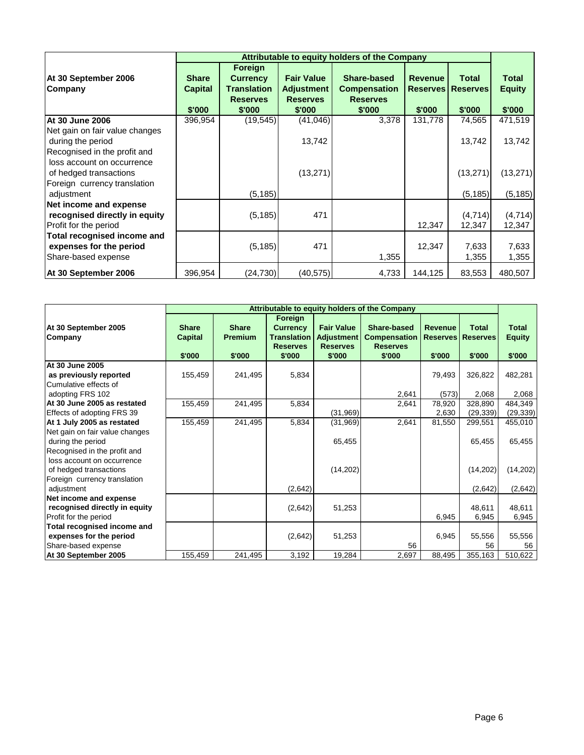|                                                                                      | Attributable to equity holders of the Company |                                       |                                      |                                        |                |                          |                   |  |
|--------------------------------------------------------------------------------------|-----------------------------------------------|---------------------------------------|--------------------------------------|----------------------------------------|----------------|--------------------------|-------------------|--|
| At 30 September 2006                                                                 | <b>Share</b>                                  | <b>Foreign</b><br><b>Currency</b>     | <b>Fair Value</b>                    | Share-based                            | <b>Revenue</b> | <b>Total</b>             | <b>Total</b>      |  |
| Company                                                                              | <b>Capital</b>                                | <b>Translation</b><br><b>Reserves</b> | <b>Adjustment</b><br><b>Reserves</b> | <b>Compensation</b><br><b>Reserves</b> |                | <b>Reserves Reserves</b> | <b>Equity</b>     |  |
|                                                                                      | \$'000                                        | \$'000                                | \$'000                               | \$'000                                 | \$'000         | \$'000                   | \$'000            |  |
| At 30 June 2006                                                                      | 396,954                                       | (19, 545)                             | (41,046)                             | 3,378                                  | 131,778        | 74,565                   | 471,519           |  |
| Net gain on fair value changes<br>during the period<br>Recognised in the profit and  |                                               |                                       | 13,742                               |                                        |                | 13,742                   | 13,742            |  |
| loss account on occurrence<br>of hedged transactions<br>Foreign currency translation |                                               |                                       | (13, 271)                            |                                        |                | (13, 271)                | (13, 271)         |  |
| adjustment                                                                           |                                               | (5, 185)                              |                                      |                                        |                | (5, 185)                 | (5, 185)          |  |
| Net income and expense<br>recognised directly in equity<br>Profit for the period     |                                               | (5, 185)                              | 471                                  |                                        | 12,347         | (4,714)<br>12,347        | (4,714)<br>12,347 |  |
| Total recognised income and<br>expenses for the period<br>Share-based expense        |                                               | (5, 185)                              | 471                                  | 1,355                                  | 12,347         | 7,633<br>1,355           | 7,633<br>1,355    |  |
| At 30 September 2006                                                                 | 396,954                                       | (24,730)                              | (40, 575)                            | 4,733                                  | 144,125        | 83,553                   | 480,507           |  |

|                                                                                      | Attributable to equity holders of the Company |                                          |                                                                               |                                                              |                                                                 |                                             |                                           |                                         |
|--------------------------------------------------------------------------------------|-----------------------------------------------|------------------------------------------|-------------------------------------------------------------------------------|--------------------------------------------------------------|-----------------------------------------------------------------|---------------------------------------------|-------------------------------------------|-----------------------------------------|
| At 30 September 2005<br>Company                                                      | <b>Share</b><br><b>Capital</b><br>\$'000      | <b>Share</b><br><b>Premium</b><br>\$'000 | Foreign<br><b>Currency</b><br><b>Translation</b><br><b>Reserves</b><br>\$'000 | <b>Fair Value</b><br>Adjustment<br><b>Reserves</b><br>\$'000 | Share-based<br><b>Compensation</b><br><b>Reserves</b><br>\$'000 | <b>Revenue</b><br><b>Reserves</b><br>\$'000 | <b>Total</b><br><b>Reserves</b><br>\$'000 | <b>Total</b><br><b>Equity</b><br>\$'000 |
| At 30 June 2005                                                                      |                                               |                                          |                                                                               |                                                              |                                                                 |                                             |                                           |                                         |
| as previously reported                                                               | 155,459                                       | 241,495                                  | 5,834                                                                         |                                                              |                                                                 | 79,493                                      | 326,822                                   | 482,281                                 |
| Cumulative effects of                                                                |                                               |                                          |                                                                               |                                                              |                                                                 |                                             |                                           |                                         |
| adopting FRS 102                                                                     |                                               |                                          |                                                                               |                                                              | 2.641                                                           | (573)                                       | 2,068                                     | 2,068                                   |
| At 30 June 2005 as restated                                                          | 155,459                                       | 241,495                                  | 5,834                                                                         |                                                              | 2,641                                                           | 78,920                                      | 328,890                                   | 484,349                                 |
| Effects of adopting FRS 39                                                           |                                               |                                          |                                                                               | (31, 969)                                                    |                                                                 | 2,630                                       | (29, 339)                                 | (29, 339)                               |
| At 1 July 2005 as restated                                                           | 155,459                                       | 241,495                                  | 5,834                                                                         | (31, 969)                                                    | 2,641                                                           | 81,550                                      | 299,551                                   | 455,010                                 |
| Net gain on fair value changes<br>during the period<br>Recognised in the profit and  |                                               |                                          |                                                                               | 65,455                                                       |                                                                 |                                             | 65,455                                    | 65,455                                  |
| loss account on occurrence<br>of hedged transactions<br>Foreign currency translation |                                               |                                          |                                                                               | (14,202)                                                     |                                                                 |                                             | (14,202)                                  | (14,202)                                |
| adjustment                                                                           |                                               |                                          | (2,642)                                                                       |                                                              |                                                                 |                                             | (2,642)                                   | (2,642)                                 |
| Net income and expense<br>recognised directly in equity<br>Profit for the period     |                                               |                                          | (2,642)                                                                       | 51,253                                                       |                                                                 | 6,945                                       | 48.611<br>6,945                           | 48,611<br>6,945                         |
| Total recognised income and                                                          |                                               |                                          |                                                                               |                                                              |                                                                 |                                             |                                           |                                         |
| expenses for the period                                                              |                                               |                                          | (2,642)                                                                       | 51,253                                                       |                                                                 | 6,945                                       | 55,556                                    | 55,556                                  |
| Share-based expense                                                                  |                                               |                                          |                                                                               |                                                              | 56                                                              |                                             | 56                                        | 56                                      |
| At 30 September 2005                                                                 | 155,459                                       | 241,495                                  | 3,192                                                                         | 19,284                                                       | 2,697                                                           | 88,495                                      | 355,163                                   | 510,622                                 |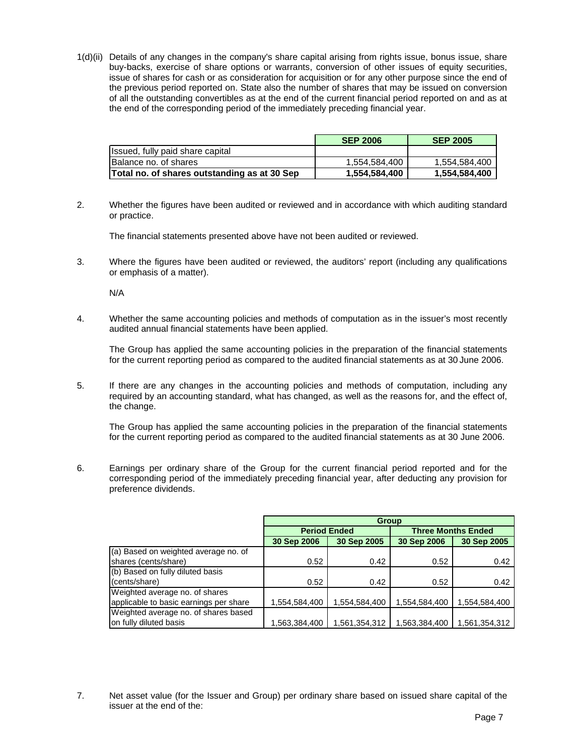1(d)(ii) Details of any changes in the company's share capital arising from rights issue, bonus issue, share buy-backs, exercise of share options or warrants, conversion of other issues of equity securities, issue of shares for cash or as consideration for acquisition or for any other purpose since the end of the previous period reported on. State also the number of shares that may be issued on conversion of all the outstanding convertibles as at the end of the current financial period reported on and as at the end of the corresponding period of the immediately preceding financial year.

|                                              | <b>SEP 2006</b> | <b>SEP 2005</b> |
|----------------------------------------------|-----------------|-----------------|
| Issued, fully paid share capital             |                 |                 |
| Balance no. of shares                        | 1.554.584.400   | 1.554.584.400   |
| Total no. of shares outstanding as at 30 Sep | 1,554,584,400   | 1,554,584,400   |

2. Whether the figures have been audited or reviewed and in accordance with which auditing standard or practice.

The financial statements presented above have not been audited or reviewed.

3. Where the figures have been audited or reviewed, the auditors' report (including any qualifications or emphasis of a matter).

N/A

4. Whether the same accounting policies and methods of computation as in the issuer's most recently audited annual financial statements have been applied.

 The Group has applied the same accounting policies in the preparation of the financial statements for the current reporting period as compared to the audited financial statements as at 30 June 2006.

5. If there are any changes in the accounting policies and methods of computation, including any required by an accounting standard, what has changed, as well as the reasons for, and the effect of, the change.

 The Group has applied the same accounting policies in the preparation of the financial statements for the current reporting period as compared to the audited financial statements as at 30 June 2006.

6. Earnings per ordinary share of the Group for the current financial period reported and for the corresponding period of the immediately preceding financial year, after deducting any provision for preference dividends.

|                                        | <b>Group</b>        |               |                           |               |  |
|----------------------------------------|---------------------|---------------|---------------------------|---------------|--|
|                                        | <b>Period Ended</b> |               | <b>Three Months Ended</b> |               |  |
|                                        | 30 Sep 2006         | 30 Sep 2005   | 30 Sep 2006               | 30 Sep 2005   |  |
| (a) Based on weighted average no. of   |                     |               |                           |               |  |
| shares (cents/share)                   | 0.52                | 0.42          | 0.52                      | 0.42          |  |
| (b) Based on fully diluted basis       |                     |               |                           |               |  |
| (cents/share)                          | 0.52                | 0.42          | 0.52                      | 0.42          |  |
| Weighted average no. of shares         |                     |               |                           |               |  |
| applicable to basic earnings per share | 1,554,584,400       | 1,554,584,400 | 1,554,584,400             | 1,554,584,400 |  |
| Weighted average no. of shares based   |                     |               |                           |               |  |
| on fully diluted basis                 | 1,563,384,400       | 1,561,354,312 | 1,563,384,400             | 1,561,354,312 |  |

7. Net asset value (for the Issuer and Group) per ordinary share based on issued share capital of the issuer at the end of the: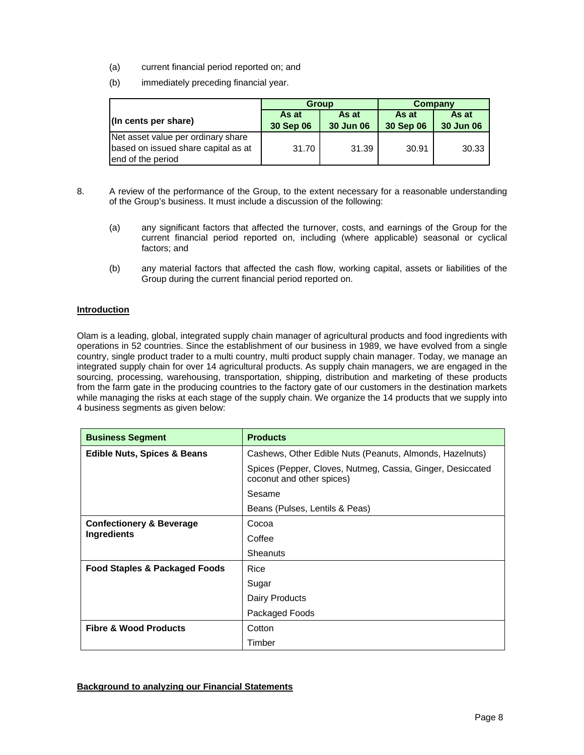- (a) current financial period reported on; and
- (b) immediately preceding financial year.

|                                                                                                |                    | <b>Group</b>       | Company            |                    |  |
|------------------------------------------------------------------------------------------------|--------------------|--------------------|--------------------|--------------------|--|
| $\vert$ (In cents per share)                                                                   | As at<br>30 Sep 06 | As at<br>30 Jun 06 | As at<br>30 Sep 06 | As at<br>30 Jun 06 |  |
| Net asset value per ordinary share<br>based on issued share capital as at<br>end of the period | 31.70              | 31.39              | 30.91              | 30.33              |  |

- 8. A review of the performance of the Group, to the extent necessary for a reasonable understanding of the Group's business. It must include a discussion of the following:
	- (a) any significant factors that affected the turnover, costs, and earnings of the Group for the current financial period reported on, including (where applicable) seasonal or cyclical factors; and
	- (b) any material factors that affected the cash flow, working capital, assets or liabilities of the Group during the current financial period reported on.

## **Introduction**

Olam is a leading, global, integrated supply chain manager of agricultural products and food ingredients with operations in 52 countries. Since the establishment of our business in 1989, we have evolved from a single country, single product trader to a multi country, multi product supply chain manager. Today, we manage an integrated supply chain for over 14 agricultural products. As supply chain managers, we are engaged in the sourcing, processing, warehousing, transportation, shipping, distribution and marketing of these products from the farm gate in the producing countries to the factory gate of our customers in the destination markets while managing the risks at each stage of the supply chain. We organize the 14 products that we supply into 4 business segments as given below:

| <b>Business Segment</b>                            | <b>Products</b>                                                                         |  |  |  |  |
|----------------------------------------------------|-----------------------------------------------------------------------------------------|--|--|--|--|
| <b>Edible Nuts, Spices &amp; Beans</b>             | Cashews, Other Edible Nuts (Peanuts, Almonds, Hazelnuts)                                |  |  |  |  |
|                                                    | Spices (Pepper, Cloves, Nutmeg, Cassia, Ginger, Desiccated<br>coconut and other spices) |  |  |  |  |
|                                                    | Sesame                                                                                  |  |  |  |  |
|                                                    | Beans (Pulses, Lentils & Peas)                                                          |  |  |  |  |
| <b>Confectionery &amp; Beverage</b><br>Ingredients | Cocoa                                                                                   |  |  |  |  |
|                                                    | Coffee                                                                                  |  |  |  |  |
|                                                    | Sheanuts                                                                                |  |  |  |  |
| Food Staples & Packaged Foods                      | Rice                                                                                    |  |  |  |  |
|                                                    | Sugar                                                                                   |  |  |  |  |
|                                                    | Dairy Products                                                                          |  |  |  |  |
|                                                    | Packaged Foods                                                                          |  |  |  |  |
| <b>Fibre &amp; Wood Products</b>                   | Cotton                                                                                  |  |  |  |  |
|                                                    | Timber                                                                                  |  |  |  |  |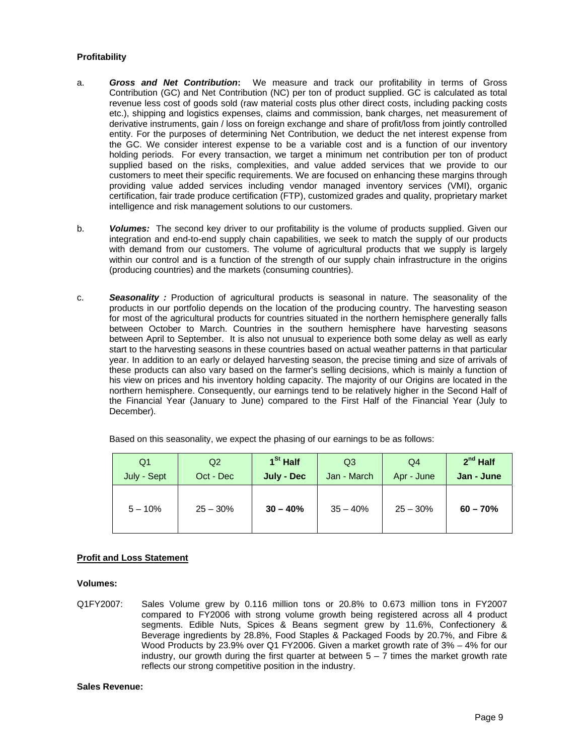## **Profitability**

- a. *Gross and Net Contribution***:** We measure and track our profitability in terms of Gross Contribution (GC) and Net Contribution (NC) per ton of product supplied. GC is calculated as total revenue less cost of goods sold (raw material costs plus other direct costs, including packing costs etc.), shipping and logistics expenses, claims and commission, bank charges, net measurement of derivative instruments, gain / loss on foreign exchange and share of profit/loss from jointly controlled entity. For the purposes of determining Net Contribution, we deduct the net interest expense from the GC. We consider interest expense to be a variable cost and is a function of our inventory holding periods. For every transaction, we target a minimum net contribution per ton of product supplied based on the risks, complexities, and value added services that we provide to our customers to meet their specific requirements. We are focused on enhancing these margins through providing value added services including vendor managed inventory services (VMI), organic certification, fair trade produce certification (FTP), customized grades and quality, proprietary market intelligence and risk management solutions to our customers.
- b. *Volumes:* The second key driver to our profitability is the volume of products supplied. Given our integration and end-to-end supply chain capabilities, we seek to match the supply of our products with demand from our customers. The volume of agricultural products that we supply is largely within our control and is a function of the strength of our supply chain infrastructure in the origins (producing countries) and the markets (consuming countries).
- c. *Seasonality :* Production of agricultural products is seasonal in nature. The seasonality of the products in our portfolio depends on the location of the producing country. The harvesting season for most of the agricultural products for countries situated in the northern hemisphere generally falls between October to March. Countries in the southern hemisphere have harvesting seasons between April to September. It is also not unusual to experience both some delay as well as early start to the harvesting seasons in these countries based on actual weather patterns in that particular year. In addition to an early or delayed harvesting season, the precise timing and size of arrivals of these products can also vary based on the farmer's selling decisions, which is mainly a function of his view on prices and his inventory holding capacity. The majority of our Origins are located in the northern hemisphere. Consequently, our earnings tend to be relatively higher in the Second Half of the Financial Year (January to June) compared to the First Half of the Financial Year (July to December).

Based on this seasonality, we expect the phasing of our earnings to be as follows:

| Q1          | Q2         | 1 <sup>St</sup> Half | Q3          | Q4         | $2^{nd}$ Half |
|-------------|------------|----------------------|-------------|------------|---------------|
| July - Sept | Oct - Dec  | July - Dec           | Jan - March | Apr - June | Jan - June    |
| $5 - 10%$   | $25 - 30%$ | $30 - 40%$           | $35 - 40%$  | $25 - 30%$ | $60 - 70%$    |

## **Profit and Loss Statement**

### **Volumes:**

Q1FY2007: Sales Volume grew by 0.116 million tons or 20.8% to 0.673 million tons in FY2007 compared to FY2006 with strong volume growth being registered across all 4 product segments. Edible Nuts, Spices & Beans segment grew by 11.6%, Confectionery & Beverage ingredients by 28.8%, Food Staples & Packaged Foods by 20.7%, and Fibre & Wood Products by 23.9% over Q1 FY2006. Given a market growth rate of 3% – 4% for our industry, our growth during the first quarter at between  $5 - 7$  times the market growth rate reflects our strong competitive position in the industry.

#### **Sales Revenue:**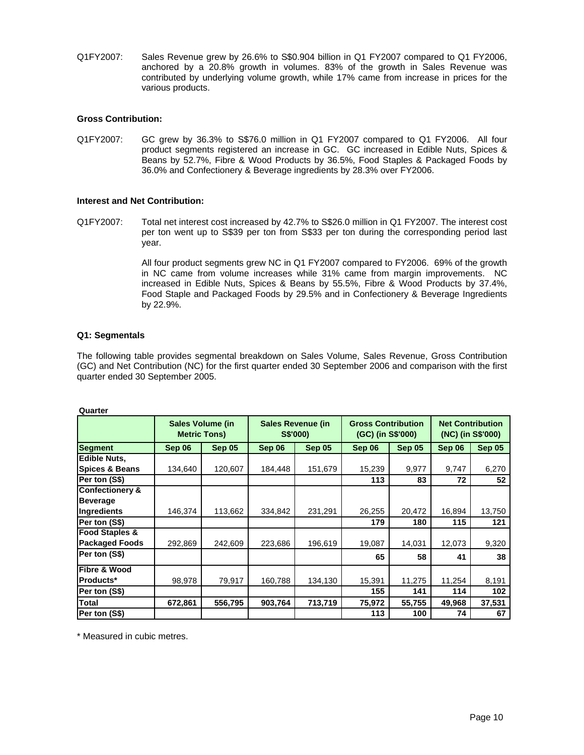Q1FY2007: Sales Revenue grew by 26.6% to S\$0.904 billion in Q1 FY2007 compared to Q1 FY2006, anchored by a 20.8% growth in volumes. 83% of the growth in Sales Revenue was contributed by underlying volume growth, while 17% came from increase in prices for the various products.

### **Gross Contribution:**

Q1FY2007: GC grew by 36.3% to S\$76.0 million in Q1 FY2007 compared to Q1 FY2006. All four product segments registered an increase in GC. GC increased in Edible Nuts, Spices & Beans by 52.7%, Fibre & Wood Products by 36.5%, Food Staples & Packaged Foods by 36.0% and Confectionery & Beverage ingredients by 28.3% over FY2006.

### **Interest and Net Contribution:**

Q1FY2007: Total net interest cost increased by 42.7% to S\$26.0 million in Q1 FY2007. The interest cost per ton went up to S\$39 per ton from S\$33 per ton during the corresponding period last year.

> All four product segments grew NC in Q1 FY2007 compared to FY2006. 69% of the growth in NC came from volume increases while 31% came from margin improvements. NC increased in Edible Nuts, Spices & Beans by 55.5%, Fibre & Wood Products by 37.4%, Food Staple and Packaged Foods by 29.5% and in Confectionery & Beverage Ingredients by 22.9%.

## **Q1: Segmentals**

The following table provides segmental breakdown on Sales Volume, Sales Revenue, Gross Contribution (GC) and Net Contribution (NC) for the first quarter ended 30 September 2006 and comparison with the first quarter ended 30 September 2005.

| Quarter                    |                                         |               |                                             |               |                                                |               |                                              |        |
|----------------------------|-----------------------------------------|---------------|---------------------------------------------|---------------|------------------------------------------------|---------------|----------------------------------------------|--------|
|                            | Sales Volume (in<br><b>Metric Tons)</b> |               | <b>Sales Revenue (in</b><br><b>S\$'000)</b> |               | <b>Gross Contribution</b><br>(GC) (in S\$'000) |               | <b>Net Contribution</b><br>(NC) (in S\$'000) |        |
| <b>Segment</b>             | Sep 06                                  | <b>Sep 05</b> | Sep 06                                      | <b>Sep 05</b> | Sep 06                                         | <b>Sep 05</b> | Sep 06                                       | Sep 05 |
| <b>Edible Nuts,</b>        |                                         |               |                                             |               |                                                |               |                                              |        |
| <b>Spices &amp; Beans</b>  | 134,640                                 | 120,607       | 184,448                                     | 151,679       | 15,239                                         | 9,977         | 9,747                                        | 6,270  |
| Per ton (S\$)              |                                         |               |                                             |               | 113                                            | 83            | 72                                           | 52     |
| <b>Confectionery &amp;</b> |                                         |               |                                             |               |                                                |               |                                              |        |
| <b>Beverage</b>            |                                         |               |                                             |               |                                                |               |                                              |        |
| Ingredients                | 146,374                                 | 113,662       | 334,842                                     | 231,291       | 26,255                                         | 20,472        | 16,894                                       | 13,750 |
| Per ton (S\$)              |                                         |               |                                             |               | 179                                            | 180           | 115                                          | 121    |
| <b>Food Staples &amp;</b>  |                                         |               |                                             |               |                                                |               |                                              |        |
| <b>Packaged Foods</b>      | 292,869                                 | 242,609       | 223,686                                     | 196,619       | 19,087                                         | 14,031        | 12,073                                       | 9,320  |
| Per ton (S\$)              |                                         |               |                                             |               | 65                                             | 58            | 41                                           | 38     |
| Fibre & Wood               |                                         |               |                                             |               |                                                |               |                                              |        |
| Products*                  | 98,978                                  | 79,917        | 160,788                                     | 134,130       | 15,391                                         | 11,275        | 11,254                                       | 8,191  |
| Per ton (S\$)              |                                         |               |                                             |               | 155                                            | 141           | 114                                          | 102    |
| <b>Total</b>               | 672,861                                 | 556,795       | 903,764                                     | 713,719       | 75,972                                         | 55,755        | 49,968                                       | 37,531 |
| Per ton (S\$)              |                                         |               |                                             |               | 113                                            | 100           | 74                                           | 67     |

\* Measured in cubic metres.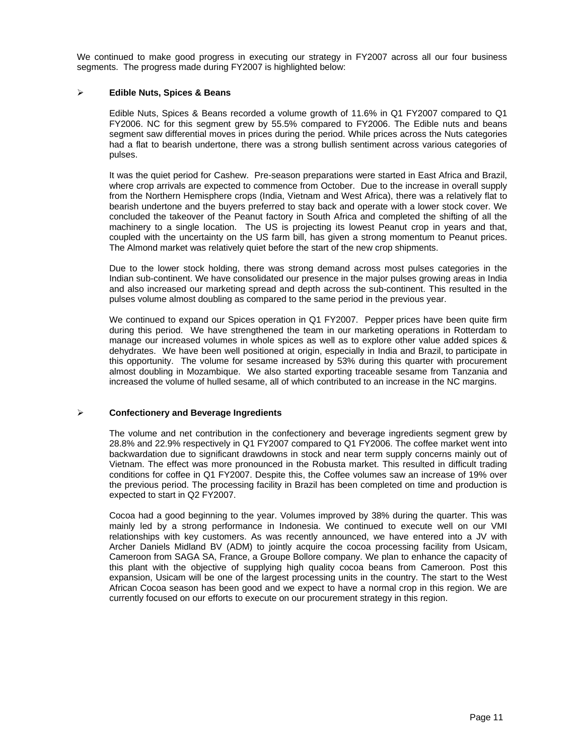We continued to make good progress in executing our strategy in FY2007 across all our four business segments. The progress made during FY2007 is highlighted below:

### ¾ **Edible Nuts, Spices & Beans**

Edible Nuts, Spices & Beans recorded a volume growth of 11.6% in Q1 FY2007 compared to Q1 FY2006. NC for this segment grew by 55.5% compared to FY2006. The Edible nuts and beans segment saw differential moves in prices during the period. While prices across the Nuts categories had a flat to bearish undertone, there was a strong bullish sentiment across various categories of pulses.

It was the quiet period for Cashew. Pre-season preparations were started in East Africa and Brazil, where crop arrivals are expected to commence from October. Due to the increase in overall supply from the Northern Hemisphere crops (India, Vietnam and West Africa), there was a relatively flat to bearish undertone and the buyers preferred to stay back and operate with a lower stock cover. We concluded the takeover of the Peanut factory in South Africa and completed the shifting of all the machinery to a single location. The US is projecting its lowest Peanut crop in years and that, coupled with the uncertainty on the US farm bill, has given a strong momentum to Peanut prices. The Almond market was relatively quiet before the start of the new crop shipments.

Due to the lower stock holding, there was strong demand across most pulses categories in the Indian sub-continent. We have consolidated our presence in the major pulses growing areas in India and also increased our marketing spread and depth across the sub-continent. This resulted in the pulses volume almost doubling as compared to the same period in the previous year.

We continued to expand our Spices operation in Q1 FY2007. Pepper prices have been quite firm during this period. We have strengthened the team in our marketing operations in Rotterdam to manage our increased volumes in whole spices as well as to explore other value added spices & dehydrates. We have been well positioned at origin, especially in India and Brazil, to participate in this opportunity. The volume for sesame increased by 53% during this quarter with procurement almost doubling in Mozambique. We also started exporting traceable sesame from Tanzania and increased the volume of hulled sesame, all of which contributed to an increase in the NC margins.

## ¾ **Confectionery and Beverage Ingredients**

The volume and net contribution in the confectionery and beverage ingredients segment grew by 28.8% and 22.9% respectively in Q1 FY2007 compared to Q1 FY2006. The coffee market went into backwardation due to significant drawdowns in stock and near term supply concerns mainly out of Vietnam. The effect was more pronounced in the Robusta market. This resulted in difficult trading conditions for coffee in Q1 FY2007. Despite this, the Coffee volumes saw an increase of 19% over the previous period. The processing facility in Brazil has been completed on time and production is expected to start in Q2 FY2007.

Cocoa had a good beginning to the year. Volumes improved by 38% during the quarter. This was mainly led by a strong performance in Indonesia. We continued to execute well on our VMI relationships with key customers. As was recently announced, we have entered into a JV with Archer Daniels Midland BV (ADM) to jointly acquire the cocoa processing facility from Usicam, Cameroon from SAGA SA, France, a Groupe Bollore company. We plan to enhance the capacity of this plant with the objective of supplying high quality cocoa beans from Cameroon. Post this expansion, Usicam will be one of the largest processing units in the country. The start to the West African Cocoa season has been good and we expect to have a normal crop in this region. We are currently focused on our efforts to execute on our procurement strategy in this region.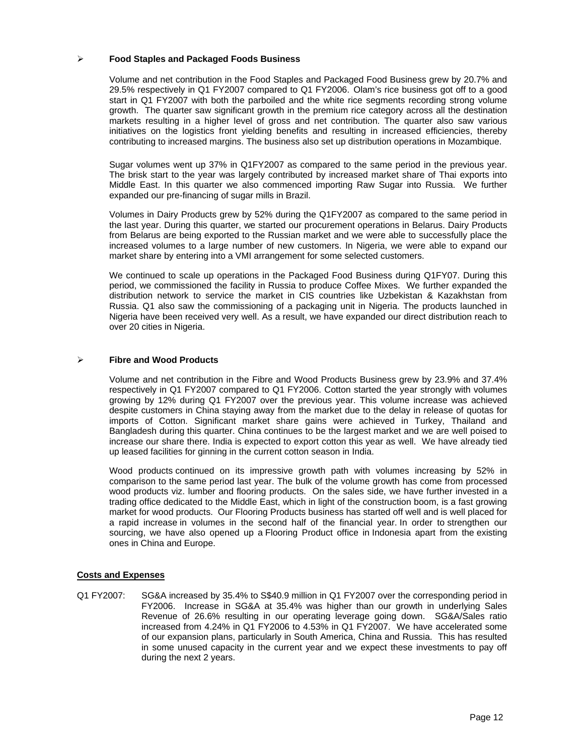### ¾ **Food Staples and Packaged Foods Business**

Volume and net contribution in the Food Staples and Packaged Food Business grew by 20.7% and 29.5% respectively in Q1 FY2007 compared to Q1 FY2006. Olam's rice business got off to a good start in Q1 FY2007 with both the parboiled and the white rice segments recording strong volume growth. The quarter saw significant growth in the premium rice category across all the destination markets resulting in a higher level of gross and net contribution. The quarter also saw various initiatives on the logistics front yielding benefits and resulting in increased efficiencies, thereby contributing to increased margins. The business also set up distribution operations in Mozambique.

Sugar volumes went up 37% in Q1FY2007 as compared to the same period in the previous year. The brisk start to the year was largely contributed by increased market share of Thai exports into Middle East. In this quarter we also commenced importing Raw Sugar into Russia. We further expanded our pre-financing of sugar mills in Brazil.

Volumes in Dairy Products grew by 52% during the Q1FY2007 as compared to the same period in the last year. During this quarter, we started our procurement operations in Belarus. Dairy Products from Belarus are being exported to the Russian market and we were able to successfully place the increased volumes to a large number of new customers. In Nigeria, we were able to expand our market share by entering into a VMI arrangement for some selected customers.

We continued to scale up operations in the Packaged Food Business during Q1FY07. During this period, we commissioned the facility in Russia to produce Coffee Mixes. We further expanded the distribution network to service the market in CIS countries like Uzbekistan & Kazakhstan from Russia. Q1 also saw the commissioning of a packaging unit in Nigeria. The products launched in Nigeria have been received very well. As a result, we have expanded our direct distribution reach to over 20 cities in Nigeria.

## ¾ **Fibre and Wood Products**

Volume and net contribution in the Fibre and Wood Products Business grew by 23.9% and 37.4% respectively in Q1 FY2007 compared to Q1 FY2006. Cotton started the year strongly with volumes growing by 12% during Q1 FY2007 over the previous year. This volume increase was achieved despite customers in China staying away from the market due to the delay in release of quotas for imports of Cotton. Significant market share gains were achieved in Turkey, Thailand and Bangladesh during this quarter. China continues to be the largest market and we are well poised to increase our share there. India is expected to export cotton this year as well. We have already tied up leased facilities for ginning in the current cotton season in India.

Wood products continued on its impressive growth path with volumes increasing by 52% in comparison to the same period last year. The bulk of the volume growth has come from processed wood products viz. lumber and flooring products. On the sales side, we have further invested in a trading office dedicated to the Middle East, which in light of the construction boom, is a fast growing market for wood products. Our Flooring Products business has started off well and is well placed for a rapid increase in volumes in the second half of the financial year. In order to strengthen our sourcing, we have also opened up a Flooring Product office in Indonesia apart from the existing ones in China and Europe.

### **Costs and Expenses**

Q1 FY2007: SG&A increased by 35.4% to S\$40.9 million in Q1 FY2007 over the corresponding period in FY2006. Increase in SG&A at 35.4% was higher than our growth in underlying Sales Revenue of 26.6% resulting in our operating leverage going down. SG&A/Sales ratio increased from 4.24% in Q1 FY2006 to 4.53% in Q1 FY2007. We have accelerated some of our expansion plans, particularly in South America, China and Russia. This has resulted in some unused capacity in the current year and we expect these investments to pay off during the next 2 years.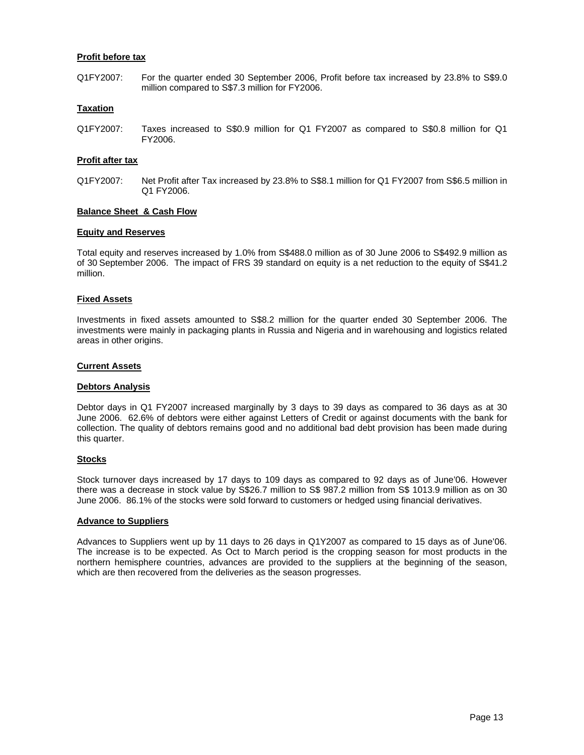### **Profit before tax**

Q1FY2007: For the quarter ended 30 September 2006, Profit before tax increased by 23.8% to S\$9.0 million compared to S\$7.3 million for FY2006.

## **Taxation**

Q1FY2007: Taxes increased to S\$0.9 million for Q1 FY2007 as compared to S\$0.8 million for Q1 FY2006.

### **Profit after tax**

Q1FY2007: Net Profit after Tax increased by 23.8% to S\$8.1 million for Q1 FY2007 from S\$6.5 million in Q1 FY2006.

### **Balance Sheet & Cash Flow**

#### **Equity and Reserves**

Total equity and reserves increased by 1.0% from S\$488.0 million as of 30 June 2006 to S\$492.9 million as of 30 September 2006. The impact of FRS 39 standard on equity is a net reduction to the equity of S\$41.2 million.

### **Fixed Assets**

Investments in fixed assets amounted to S\$8.2 million for the quarter ended 30 September 2006. The investments were mainly in packaging plants in Russia and Nigeria and in warehousing and logistics related areas in other origins.

#### **Current Assets**

#### **Debtors Analysis**

Debtor days in Q1 FY2007 increased marginally by 3 days to 39 days as compared to 36 days as at 30 June 2006. 62.6% of debtors were either against Letters of Credit or against documents with the bank for collection. The quality of debtors remains good and no additional bad debt provision has been made during this quarter.

### **Stocks**

Stock turnover days increased by 17 days to 109 days as compared to 92 days as of June'06. However there was a decrease in stock value by S\$26.7 million to S\$ 987.2 million from S\$ 1013.9 million as on 30 June 2006. 86.1% of the stocks were sold forward to customers or hedged using financial derivatives.

#### **Advance to Suppliers**

Advances to Suppliers went up by 11 days to 26 days in Q1Y2007 as compared to 15 days as of June'06. The increase is to be expected. As Oct to March period is the cropping season for most products in the northern hemisphere countries, advances are provided to the suppliers at the beginning of the season, which are then recovered from the deliveries as the season progresses.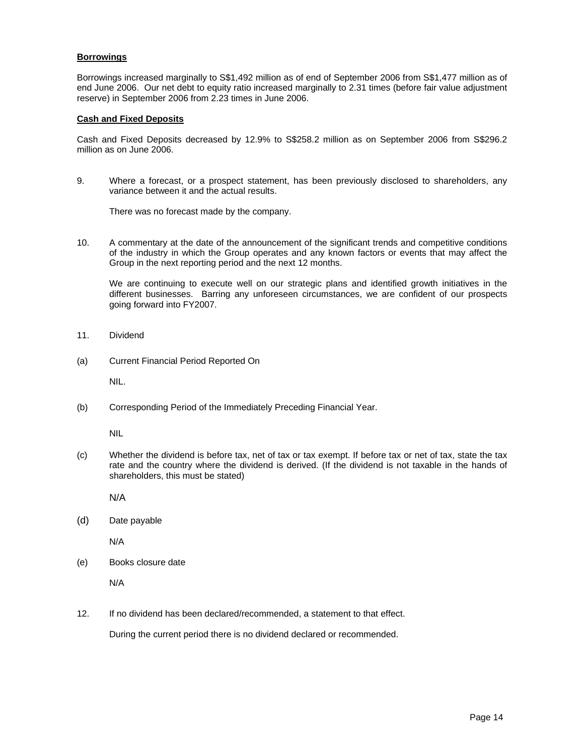## **Borrowings**

Borrowings increased marginally to S\$1,492 million as of end of September 2006 from S\$1,477 million as of end June 2006. Our net debt to equity ratio increased marginally to 2.31 times (before fair value adjustment reserve) in September 2006 from 2.23 times in June 2006.

### **Cash and Fixed Deposits**

Cash and Fixed Deposits decreased by 12.9% to S\$258.2 million as on September 2006 from S\$296.2 million as on June 2006.

9. Where a forecast, or a prospect statement, has been previously disclosed to shareholders, any variance between it and the actual results.

There was no forecast made by the company.

10. A commentary at the date of the announcement of the significant trends and competitive conditions of the industry in which the Group operates and any known factors or events that may affect the Group in the next reporting period and the next 12 months.

We are continuing to execute well on our strategic plans and identified growth initiatives in the different businesses. Barring any unforeseen circumstances, we are confident of our prospects going forward into FY2007.

- 11. Dividend
- (a) Current Financial Period Reported On

NIL.

(b) Corresponding Period of the Immediately Preceding Financial Year.

NIL

(c) Whether the dividend is before tax, net of tax or tax exempt. If before tax or net of tax, state the tax rate and the country where the dividend is derived. (If the dividend is not taxable in the hands of shareholders, this must be stated)

N/A

(d) Date payable

N/A

(e) Books closure date

N/A

12. If no dividend has been declared/recommended, a statement to that effect.

During the current period there is no dividend declared or recommended.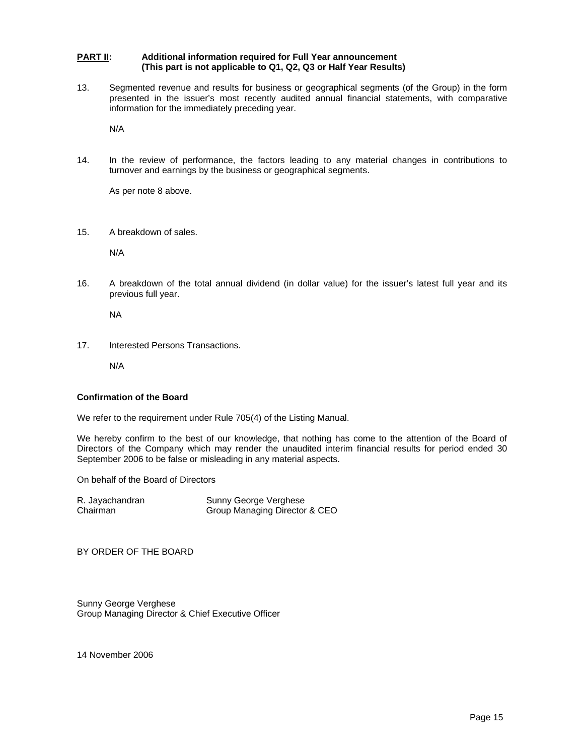#### **PART II:** Additional information required for Full Year announcement  **(This part is not applicable to Q1, Q2, Q3 or Half Year Results)**

13. Segmented revenue and results for business or geographical segments (of the Group) in the form presented in the issuer's most recently audited annual financial statements, with comparative information for the immediately preceding year.

N/A

14. In the review of performance, the factors leading to any material changes in contributions to turnover and earnings by the business or geographical segments.

As per note 8 above.

15. A breakdown of sales.

N/A

16. A breakdown of the total annual dividend (in dollar value) for the issuer's latest full year and its previous full year.

NA

17. Interested Persons Transactions.

N/A

### **Confirmation of the Board**

We refer to the requirement under Rule 705(4) of the Listing Manual.

We hereby confirm to the best of our knowledge, that nothing has come to the attention of the Board of Directors of the Company which may render the unaudited interim financial results for period ended 30 September 2006 to be false or misleading in any material aspects.

On behalf of the Board of Directors

| R. Jayachandran | Sunny George Verghese         |
|-----------------|-------------------------------|
| Chairman        | Group Managing Director & CEO |

BY ORDER OF THE BOARD

Sunny George Verghese Group Managing Director & Chief Executive Officer

14 November 2006